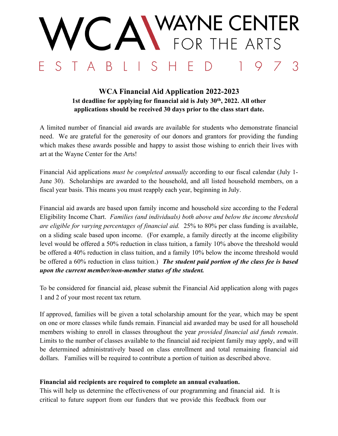# WAYNE CENTER<br>Letor the arts  $S$ B 3

### **WCA Financial Aid Application 2022-2023 1st deadline for applying for financial aid is July 30th, 2022. All other applications should be received 30 days prior to the class start date.**

A limited number of financial aid awards are available for students who demonstrate financial need. We are grateful for the generosity of our donors and grantors for providing the funding which makes these awards possible and happy to assist those wishing to enrich their lives with art at the Wayne Center for the Arts!

Financial Aid applications *must be completed annually* according to our fiscal calendar (July 1- June 30). Scholarships are awarded to the household, and all listed household members, on a fiscal year basis. This means you must reapply each year, beginning in July.

Financial aid awards are based upon family income and household size according to the Federal Eligibility Income Chart. *Families (and individuals) both above and below the income threshold are eligible for varying percentages of financial aid.* 25% to 80% per class funding is available, on a sliding scale based upon income. (For example, a family directly at the income eligibility level would be offered a 50% reduction in class tuition, a family 10% above the threshold would be offered a 40% reduction in class tuition, and a family 10% below the income threshold would be offered a 60% reduction in class tuition.) *The student paid portion of the class fee is based upon the current member/non-member status of the student.* 

To be considered for financial aid, please submit the Financial Aid application along with pages 1 and 2 of your most recent tax return.

If approved, families will be given a total scholarship amount for the year, which may be spent on one or more classes while funds remain. Financial aid awarded may be used for all household members wishing to enroll in classes throughout the year *provided financial aid funds remain*. Limits to the number of classes available to the financial aid recipient family may apply, and will be determined administratively based on class enrollment and total remaining financial aid dollars. Families will be required to contribute a portion of tuition as described above.

### **Financial aid recipients are required to complete an annual evaluation.**

This will help us determine the effectiveness of our programming and financial aid. It is critical to future support from our funders that we provide this feedback from our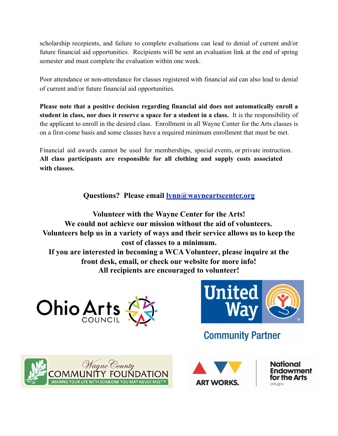scholarship recepients, and failure to complete evaluations can lead to denial of current and/or future financial aid opportunities. Recipients will be sent an evaluation link at the end of spring semester and must complete the evaluation within one week.

Poor attendance or non-attendance for classes registered with financial aid can also lead to denial of current and/or future financial aid opportunities.

**Please note that a positive decision regarding financial aid does not automatically enroll a student in class, nor does it reserve a space for a student in a class.** It is the responsibility of the applicant to enroll in the desired class. Enrollment in all Wayne Center for the Arts classes is on a first-come basis and some classes have a required minimum enrollment that must be met.

Financial aid awards cannot be used for memberships, special events, or private instruction. **All class participants are responsible for all clothing and supply costs associated with classes.**

**Questions? Please email [lynn@wayneartscenter.org](mailto:lynn@wayneartscenter.org)**

**Volunteer with the Wayne Center for the Arts! We could not achieve our mission without the aid of volunteers. Volunteers help us in a variety of ways and their service allows us to keep the cost of classes to a minimum. If you are interested in becoming a WCA Volunteer, please inquire at the front desk, email, or check our website for more info! All recipients are encouraged to volunteer!**





# **Community Partner**





National ndowment **for the Arts** arts.aov